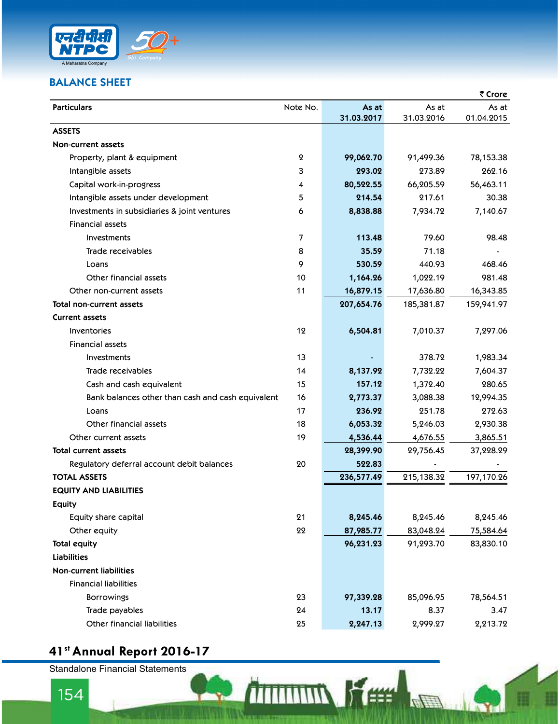

## BALANCE SHEET

| <b>BALANCE SHEET</b>                              |                |                     |                     | ₹ Crore             |
|---------------------------------------------------|----------------|---------------------|---------------------|---------------------|
| <b>Particulars</b>                                | Note No.       | As at<br>31.03.2017 | As at<br>31.03.2016 | As at<br>01.04.2015 |
| <b>ASSETS</b>                                     |                |                     |                     |                     |
| <b>Non-current assets</b>                         |                |                     |                     |                     |
| Property, plant & equipment                       | 2              | 99,062.70           | 91,499.36           | 78,153.38           |
| Intangible assets                                 | 3              | 293.02              | 273.89              | 262.16              |
| Capital work-in-progress                          | 4              | 80,522.55           | 66,205.59           | 56,463.11           |
| Intangible assets under development               | 5              | 214.54              | 217.61              | 30.38               |
| Investments in subsidiaries & joint ventures      | 6              | 8,838.88            | 7,934.72            | 7,140.67            |
| <b>Financial assets</b>                           |                |                     |                     |                     |
| Investments                                       | $\overline{7}$ | 113.48              | 79.60               | 98.48               |
| Trade receivables                                 | 8              | 35.59               | 71.18               |                     |
| Loans                                             | 9              | 530.59              | 440.93              | 468.46              |
| Other financial assets                            | 10             | 1,164.26            | 1,022.19            | 981.48              |
| Other non-current assets                          | 11             | 16,879.15           | 17,636.80           | 16,343.85           |
| Total non-current assets                          |                | 207,654.76          | 185,381.87          | 159,941.97          |
| <b>Current assets</b>                             |                |                     |                     |                     |
| <b>Inventories</b>                                | 12             | 6,504.81            | 7,010.37            | 7,297.06            |
| <b>Financial assets</b>                           |                |                     |                     |                     |
| Investments                                       | 13             |                     | 378.72              | 1,983.34            |
| Trade receivables                                 | 14             | 8,137.92            | 7,732.22            | 7,604.37            |
| Cash and cash equivalent                          | 15             | 157.12              | 1,372.40            | 280.65              |
| Bank balances other than cash and cash equivalent | 16             | 2,773.37            | 3,088.38            | 12,994.35           |
| Loans                                             | 17             | 236.92              | 251.78              | 272.63              |
| Other financial assets                            | 18             | 6,053.32            | 5,246.03            | 2,930.38            |
| Other current assets                              | 19             | 4,536.44            | 4,676.55            | 3,865.51            |
| Total current assets                              |                | 28,399.90           | 29,756.45           | 37,228.29           |
| Regulatory deferral account debit balances        | 20             | 522.83              |                     |                     |
| <b>TOTAL ASSETS</b>                               |                | 236,577.49          | 215,138.32          | 197,170.26          |
| <b>EQUITY AND LIABILITIES</b>                     |                |                     |                     |                     |
| <b>Equity</b>                                     |                |                     |                     |                     |
| Equity share capital                              | 21             | 8,245.46            | 8,245.46            | 8,245.46            |
| Other equity                                      | 22             | 87,985.77           | 83,048.24           | 75,584.64           |
| <b>Total equity</b>                               |                | 96,231.23           | 91,293.70           | 83,830.10           |
| <b>Liabilities</b>                                |                |                     |                     |                     |
| <b>Non-current liabilities</b>                    |                |                     |                     |                     |
| <b>Financial liabilities</b>                      |                |                     |                     |                     |
| <b>Borrowings</b>                                 | 23             | 97,339.28           | 85,096.95           | 78,564.51           |
| Trade payables                                    | 24             | 13.17               | 8.37                | 3.47                |
| Other financial liabilities                       | 25             | 2,247.13            | 2,999.27            | 2,213.72            |

**A** 

# 41st Annual Report 2016-17

Standalone Financial Statements<br>154